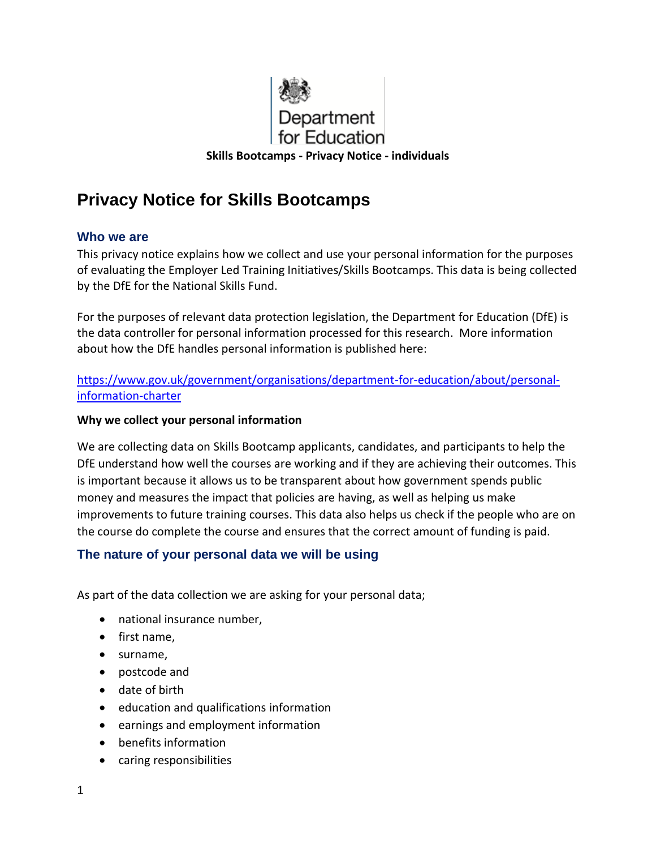

# **Privacy Notice for Skills Bootcamps**

## **Who we are**

This privacy notice explains how we collect and use your personal information for the purposes of evaluating the Employer Led Training Initiatives/Skills Bootcamps. This data is being collected by the DfE for the National Skills Fund.

For the purposes of relevant data protection legislation, the Department for Education (DfE) is the data controller for personal information processed for this research. More information about how the DfE handles personal information is published here:

#### [https://www.gov.uk/government/organisations/department-for-education/about/personal](https://www.gov.uk/government/organisations/department-for-education/about/personal-information-charter)[information-charter](https://www.gov.uk/government/organisations/department-for-education/about/personal-information-charter)

#### **Why we collect your personal information**

We are collecting data on Skills Bootcamp applicants, candidates, and participants to help the DfE understand how well the courses are working and if they are achieving their outcomes. This is important because it allows us to be transparent about how government spends public money and measures the impact that policies are having, as well as helping us make improvements to future training courses. This data also helps us check if the people who are on the course do complete the course and ensures that the correct amount of funding is paid.

## **The nature of your personal data we will be using**

As part of the data collection we are asking for your personal data;

- national insurance number,
- first name,
- surname,
- postcode and
- date of birth
- education and qualifications information
- earnings and employment information
- benefits information
- caring responsibilities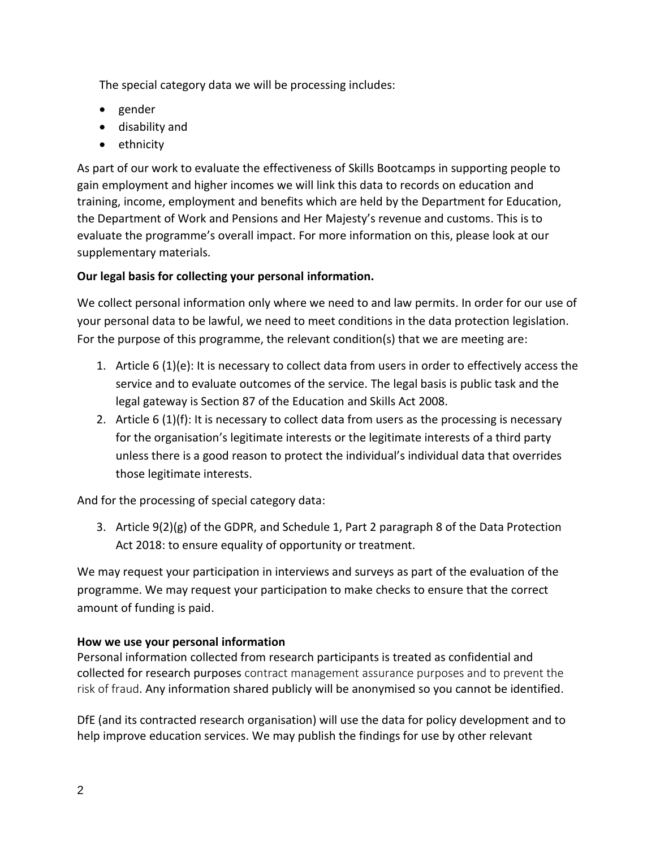The special category data we will be processing includes:

- gender
- disability and
- ethnicity

As part of our work to evaluate the effectiveness of Skills Bootcamps in supporting people to gain employment and higher incomes we will link this data to records on education and training, income, employment and benefits which are held by the Department for Education, the Department of Work and Pensions and Her Majesty's revenue and customs. This is to evaluate the programme's overall impact. For more information on this, please look at our supplementary materials.

# **Our legal basis for collecting your personal information.**

We collect personal information only where we need to and law permits. In order for our use of your personal data to be lawful, we need to meet conditions in the data protection legislation. For the purpose of this programme, the relevant condition(s) that we are meeting are:

- 1. Article 6 (1)(e): It is necessary to collect data from users in order to effectively access the service and to evaluate outcomes of the service. The legal basis is public task and the legal gateway is Section 87 of the Education and Skills Act 2008.
- 2. Article 6 (1)(f): It is necessary to collect data from users as the processing is necessary for the organisation's legitimate interests or the legitimate interests of a third party unless there is a good reason to protect the individual's individual data that overrides those legitimate interests.

And for the processing of special category data:

3. Article 9(2)(g) of the GDPR, and Schedule 1, Part 2 paragraph 8 of the Data Protection Act 2018: to ensure equality of opportunity or treatment.

We may request your participation in interviews and surveys as part of the evaluation of the programme. We may request your participation to make checks to ensure that the correct amount of funding is paid.

# **How we use your personal information**

Personal information collected from research participants is treated as confidential and collected for research purposes contract management assurance purposes and to prevent the risk of fraud. Any information shared publicly will be anonymised so you cannot be identified.

DfE (and its contracted research organisation) will use the data for policy development and to help improve education services. We may publish the findings for use by other relevant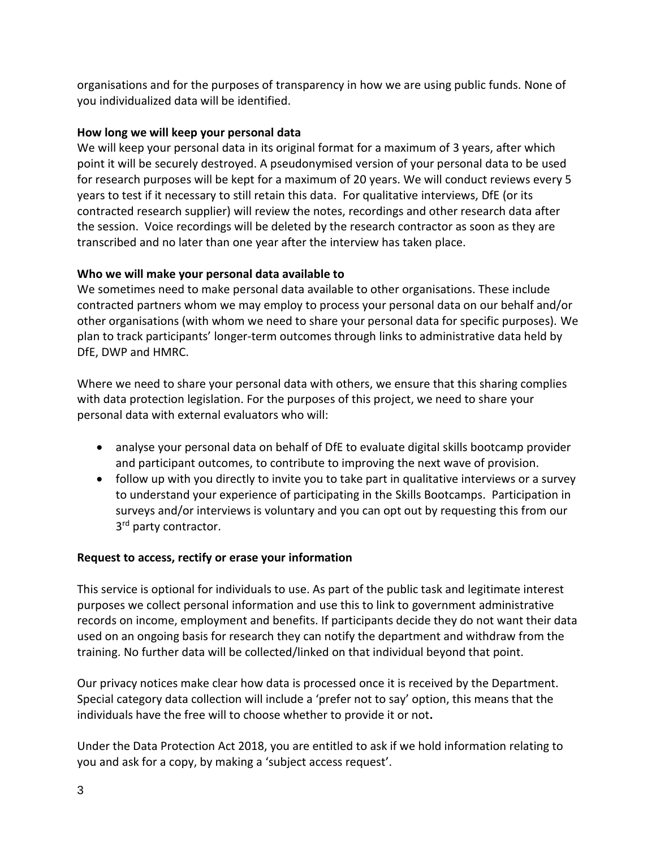organisations and for the purposes of transparency in how we are using public funds. None of you individualized data will be identified.

## **How long we will keep your personal data**

We will keep your personal data in its original format for a maximum of 3 years, after which point it will be securely destroyed. A pseudonymised version of your personal data to be used for research purposes will be kept for a maximum of 20 years. We will conduct reviews every 5 years to test if it necessary to still retain this data. For qualitative interviews, DfE (or its contracted research supplier) will review the notes, recordings and other research data after the session. Voice recordings will be deleted by the research contractor as soon as they are transcribed and no later than one year after the interview has taken place.

# **Who we will make your personal data available to**

We sometimes need to make personal data available to other organisations. These include contracted partners whom we may employ to process your personal data on our behalf and/or other organisations (with whom we need to share your personal data for specific purposes). We plan to track participants' longer-term outcomes through links to administrative data held by DfE, DWP and HMRC.

Where we need to share your personal data with others, we ensure that this sharing complies with data protection legislation. For the purposes of this project, we need to share your personal data with external evaluators who will:

- analyse your personal data on behalf of DfE to evaluate digital skills bootcamp provider and participant outcomes, to contribute to improving the next wave of provision.
- follow up with you directly to invite you to take part in qualitative interviews or a survey to understand your experience of participating in the Skills Bootcamps. Participation in surveys and/or interviews is voluntary and you can opt out by requesting this from our 3<sup>rd</sup> party contractor.

# **Request to access, rectify or erase your information**

This service is optional for individuals to use. As part of the public task and legitimate interest purposes we collect personal information and use this to link to government administrative records on income, employment and benefits. If participants decide they do not want their data used on an ongoing basis for research they can notify the department and withdraw from the training. No further data will be collected/linked on that individual beyond that point.

Our privacy notices make clear how data is processed once it is received by the Department. Special category data collection will include a 'prefer not to say' option, this means that the individuals have the free will to choose whether to provide it or not**.**

Under the Data Protection Act 2018, you are entitled to ask if we hold information relating to you and ask for a copy, by making a 'subject access request'.